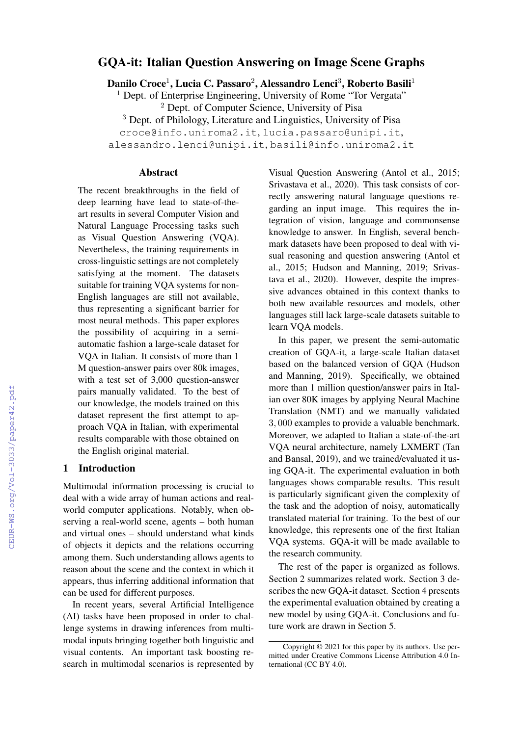# GQA-it: Italian Question Answering on Image Scene Graphs

Danilo Croce<sup>1</sup>, Lucia C. Passaro<sup>2</sup>, Alessandro Lenci<sup>3</sup>, Roberto Basili<sup>1</sup>

 $1$  Dept. of Enterprise Engineering, University of Rome "Tor Vergata"

<sup>2</sup> Dept. of Computer Science, University of Pisa

<sup>3</sup> Dept. of Philology, Literature and Linguistics, University of Pisa

croce@info.uniroma2.it, lucia.passaro@unipi.it,

alessandro.lenci@unipi.it, basili@info.uniroma2.it

### Abstract

The recent breakthroughs in the field of deep learning have lead to state-of-theart results in several Computer Vision and Natural Language Processing tasks such as Visual Question Answering (VQA). Nevertheless, the training requirements in cross-linguistic settings are not completely satisfying at the moment. The datasets suitable for training VQA systems for non-English languages are still not available, thus representing a significant barrier for most neural methods. This paper explores the possibility of acquiring in a semiautomatic fashion a large-scale dataset for VQA in Italian. It consists of more than 1 M question-answer pairs over 80k images, with a test set of 3,000 question-answer pairs manually validated. To the best of our knowledge, the models trained on this dataset represent the first attempt to approach VQA in Italian, with experimental results comparable with those obtained on the English original material.

#### 1 Introduction

Multimodal information processing is crucial to deal with a wide array of human actions and realworld computer applications. Notably, when observing a real-world scene, agents – both human and virtual ones – should understand what kinds of objects it depicts and the relations occurring among them. Such understanding allows agents to reason about the scene and the context in which it appears, thus inferring additional information that can be used for different purposes.

In recent years, several Artificial Intelligence (AI) tasks have been proposed in order to challenge systems in drawing inferences from multimodal inputs bringing together both linguistic and visual contents. An important task boosting research in multimodal scenarios is represented by Visual Question Answering (Antol et al., 2015; Srivastava et al., 2020). This task consists of correctly answering natural language questions regarding an input image. This requires the integration of vision, language and commonsense knowledge to answer. In English, several benchmark datasets have been proposed to deal with visual reasoning and question answering (Antol et al., 2015; Hudson and Manning, 2019; Srivastava et al., 2020). However, despite the impressive advances obtained in this context thanks to both new available resources and models, other languages still lack large-scale datasets suitable to learn VQA models.

In this paper, we present the semi-automatic creation of GQA-it, a large-scale Italian dataset based on the balanced version of GQA (Hudson and Manning, 2019). Specifically, we obtained more than 1 million question/answer pairs in Italian over 80K images by applying Neural Machine Translation (NMT) and we manually validated 3, 000 examples to provide a valuable benchmark. Moreover, we adapted to Italian a state-of-the-art VQA neural architecture, namely LXMERT (Tan and Bansal, 2019), and we trained/evaluated it using GQA-it. The experimental evaluation in both languages shows comparable results. This result is particularly significant given the complexity of the task and the adoption of noisy, automatically translated material for training. To the best of our knowledge, this represents one of the first Italian VQA systems. GQA-it will be made available to the research community.

The rest of the paper is organized as follows. Section 2 summarizes related work. Section 3 describes the new GQA-it dataset. Section 4 presents the experimental evaluation obtained by creating a new model by using GQA-it. Conclusions and future work are drawn in Section 5.

Copyright © 2021 for this paper by its authors. Use permitted under Creative Commons License Attribution 4.0 International (CC BY 4.0).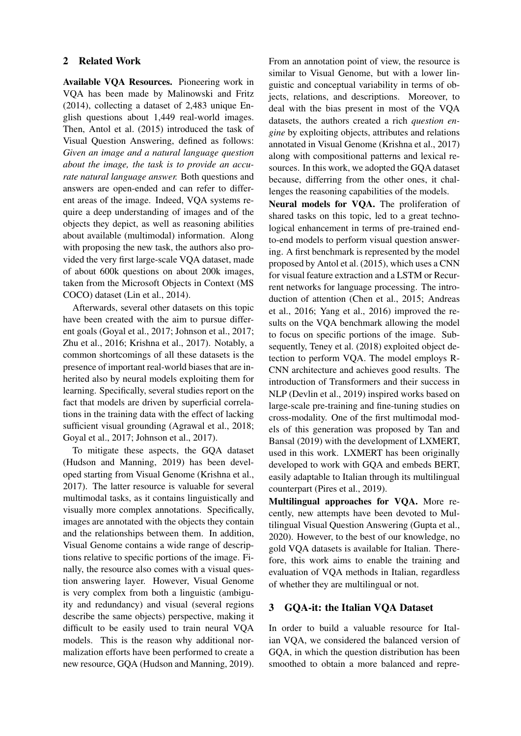## 2 Related Work

Available VQA Resources. Pioneering work in VQA has been made by Malinowski and Fritz (2014), collecting a dataset of 2,483 unique English questions about 1,449 real-world images. Then, Antol et al. (2015) introduced the task of Visual Question Answering, defined as follows: *Given an image and a natural language question about the image, the task is to provide an accurate natural language answer.* Both questions and answers are open-ended and can refer to different areas of the image. Indeed, VQA systems require a deep understanding of images and of the objects they depict, as well as reasoning abilities about available (multimodal) information. Along with proposing the new task, the authors also provided the very first large-scale VQA dataset, made of about 600k questions on about 200k images, taken from the Microsoft Objects in Context (MS COCO) dataset (Lin et al., 2014).

Afterwards, several other datasets on this topic have been created with the aim to pursue different goals (Goyal et al., 2017; Johnson et al., 2017; Zhu et al., 2016; Krishna et al., 2017). Notably, a common shortcomings of all these datasets is the presence of important real-world biases that are inherited also by neural models exploiting them for learning. Specifically, several studies report on the fact that models are driven by superficial correlations in the training data with the effect of lacking sufficient visual grounding (Agrawal et al., 2018; Goyal et al., 2017; Johnson et al., 2017).

To mitigate these aspects, the GQA dataset (Hudson and Manning, 2019) has been developed starting from Visual Genome (Krishna et al., 2017). The latter resource is valuable for several multimodal tasks, as it contains linguistically and visually more complex annotations. Specifically, images are annotated with the objects they contain and the relationships between them. In addition, Visual Genome contains a wide range of descriptions relative to specific portions of the image. Finally, the resource also comes with a visual question answering layer. However, Visual Genome is very complex from both a linguistic (ambiguity and redundancy) and visual (several regions describe the same objects) perspective, making it difficult to be easily used to train neural VQA models. This is the reason why additional normalization efforts have been performed to create a new resource, GQA (Hudson and Manning, 2019).

From an annotation point of view, the resource is similar to Visual Genome, but with a lower linguistic and conceptual variability in terms of objects, relations, and descriptions. Moreover, to deal with the bias present in most of the VQA datasets, the authors created a rich *question engine* by exploiting objects, attributes and relations annotated in Visual Genome (Krishna et al., 2017) along with compositional patterns and lexical resources. In this work, we adopted the GQA dataset because, differring from the other ones, it challenges the reasoning capabilities of the models.

Neural models for VQA. The proliferation of shared tasks on this topic, led to a great technological enhancement in terms of pre-trained endto-end models to perform visual question answering. A first benchmark is represented by the model proposed by Antol et al. (2015), which uses a CNN for visual feature extraction and a LSTM or Recurrent networks for language processing. The introduction of attention (Chen et al., 2015; Andreas et al., 2016; Yang et al., 2016) improved the results on the VQA benchmark allowing the model to focus on specific portions of the image. Subsequently, Teney et al. (2018) exploited object detection to perform VQA. The model employs R-CNN architecture and achieves good results. The introduction of Transformers and their success in NLP (Devlin et al., 2019) inspired works based on large-scale pre-training and fine-tuning studies on cross-modality. One of the first multimodal models of this generation was proposed by Tan and Bansal (2019) with the development of LXMERT, used in this work. LXMERT has been originally developed to work with GQA and embeds BERT, easily adaptable to Italian through its multilingual counterpart (Pires et al., 2019).

Multilingual approaches for VQA. More recently, new attempts have been devoted to Multilingual Visual Question Answering (Gupta et al., 2020). However, to the best of our knowledge, no gold VQA datasets is available for Italian. Therefore, this work aims to enable the training and evaluation of VQA methods in Italian, regardless of whether they are multilingual or not.

#### 3 GQA-it: the Italian VQA Dataset

In order to build a valuable resource for Italian VQA, we considered the balanced version of GQA, in which the question distribution has been smoothed to obtain a more balanced and repre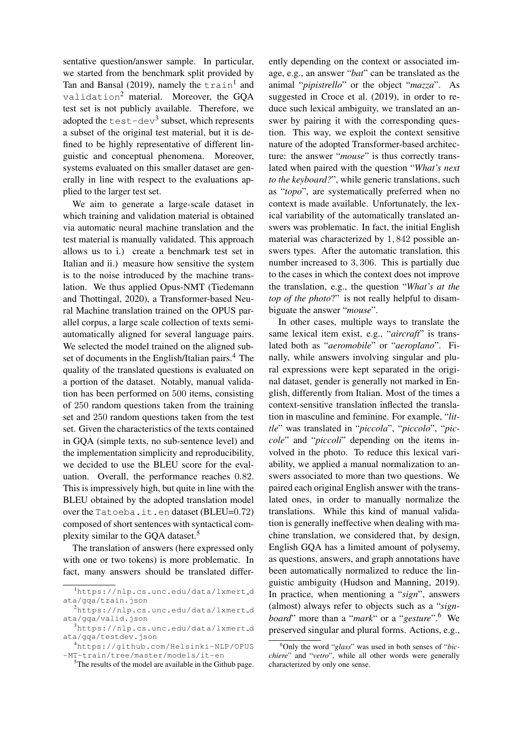sentative question/answer sample. In particular, we started from the benchmark split provided by Tan and Bansal (2019), namely the  $train^1$  and validation<sup>2</sup> material. Moreover, the GQA test set is not publicly available. Therefore, we adopted the  $test-dev<sup>3</sup>$  subset, which represents a subset of the original test material, but it is defined to be highly representative of different linguistic and conceptual phenomena. Moreover, systems evaluated on this smaller dataset are generally in line with respect to the evaluations applied to the larger test set.

We aim to generate a large-scale dataset in which training and validation material is obtained via automatic neural machine translation and the test material is manually validated. This approach allows us to i.) create a benchmark test set in Italian and ii.) measure how sensitive the system is to the noise introduced by the machine translation. We thus applied Opus-NMT (Tiedemann and Thottingal, 2020), a Transformer-based Neural Machine translation trained on the OPUS parallel corpus, a large scale collection of texts semiautomatically aligned for several language pairs. We selected the model trained on the aligned subset of documents in the English/Italian pairs.<sup>4</sup> The quality of the translated questions is evaluated on a portion of the dataset. Notably, manual validation has been performed on 500 items, consisting of 250 random questions taken from the training set and 250 random questions taken from the test set. Given the characteristics of the texts contained in GQA (simple texts, no sub-sentence level) and the implementation simplicity and reproducibility, we decided to use the BLEU score for the evaluation. Overall, the performance reaches 0.82. This is impressively high, but quite in line with the BLEU obtained by the adopted translation model over the Tatoeba.it.en dataset (BLEU=0.72) composed of short sentences with syntactical complexity similar to the GQA dataset.<sup>5</sup>

The translation of answers (here expressed only with one or two tokens) is more problematic. In fact, many answers should be translated differently depending on the context or associated image, e.g., an answer "*bat*" can be translated as the animal "*pipistrello*" or the object "*mazza*". As suggested in Croce et al. (2019), in order to reduce such lexical ambiguity, we translated an answer by pairing it with the corresponding question. This way, we exploit the context sensitive nature of the adopted Transformer-based architecture: the answer "*mouse*" is thus correctly translated when paired with the question "*What's next to the keyboard?*", while generic translations, such as "*topo*", are systematically preferred when no context is made available. Unfortunately, the lexical variability of the automatically translated answers was problematic. In fact, the initial English material was characterized by 1, 842 possible answers types. After the automatic translation, this number increased to 3, 306. This is partially due to the cases in which the context does not improve the translation, e.g., the question "*What's at the top of the photo*?" is not really helpful to disambiguate the answer "*mouse*".

In other cases, multiple ways to translate the same lexical item exist, e.g., "*aircraft*" is translated both as "*aeromobile*" or "*aeroplano*". Finally, while answers involving singular and plural expressions were kept separated in the original dataset, gender is generally not marked in English, differently from Italian. Most of the times a context-sensitive translation inflected the translation in masculine and feminine. For example, "*little*" was translated in "*piccola*", "*piccolo*", "*piccole*" and "*piccoli*" depending on the items involved in the photo. To reduce this lexical variability, we applied a manual normalization to answers associated to more than two questions. We paired each original English answer with the translated ones, in order to manually normalize the translations. While this kind of manual validation is generally ineffective when dealing with machine translation, we considered that, by design, English GQA has a limited amount of polysemy, as questions, answers, and graph annotations have been automatically normalized to reduce the linguistic ambiguity (Hudson and Manning, 2019). In practice, when mentioning a "*sign*", answers (almost) always refer to objects such as a "*signboard*" more than a "*mark*" or a "*gesture*".<sup>6</sup> We preserved singular and plural forms. Actions, e.g.,

<sup>1</sup>https://nlp.cs.unc.edu/data/lxmert d ata/gqa/train.json

<sup>&</sup>lt;sup>2</sup>https://nlp.cs.unc.edu/data/lxmert\_d ata/gqa/valid.json

 $3$ https://nlp.cs.unc.edu/data/lxmert\_d ata/gqa/testdev.json

<sup>4</sup>https://github.com/Helsinki-NLP/OPUS -MT-train/tree/master/models/it-en

<sup>5</sup>The results of the model are available in the Github page.

<sup>6</sup>Only the word "*glass*" was used in both senses of "*bicchiere*" and "*vetro*", while all other words were generally characterized by only one sense.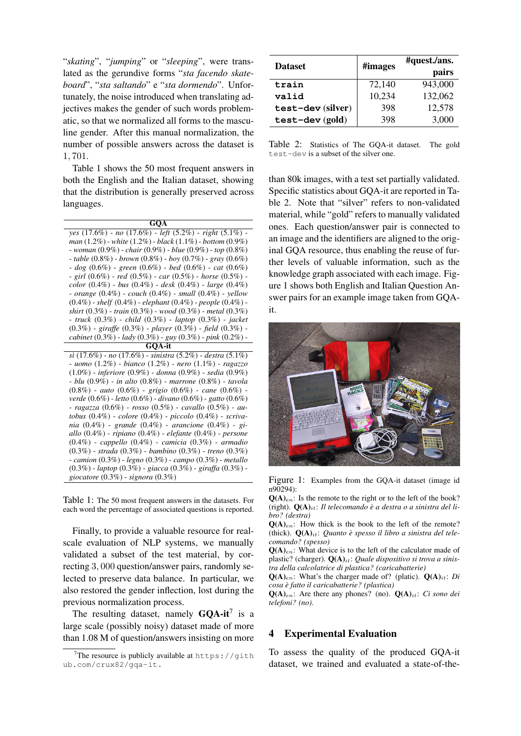"*skating*", "*jumping*" or "*sleeping*", were translated as the gerundive forms "*sta facendo skateboard*", "*sta saltando*" e "*sta dormendo*". Unfortunately, the noise introduced when translating adjectives makes the gender of such words problematic, so that we normalized all forms to the masculine gender. After this manual normalization, the number of possible answers across the dataset is 1, 701.

Table 1 shows the 50 most frequent answers in both the English and the Italian dataset, showing that the distribution is generally preserved across languages.

| GQA                                                                    |
|------------------------------------------------------------------------|
| yes $(17.6\%)$ - no $(17.6\%)$ - left $(5.2\%)$ - right $(5.1\%)$ -    |
| man $(1.2\%)$ - white $(1.2\%)$ - black $(1.1\%)$ - bottom $(0.9\%)$   |
| - woman $(0.9\%)$ - chair $(0.9\%)$ - blue $(0.9\%)$ - top $(0.8\%)$   |
| - table $(0.8\%)$ - brown $(0.8\%)$ - boy $(0.7\%)$ - gray $(0.6\%)$   |
| $-$ dog (0.6%) - green (0.6%) - bed (0.6%) - cat (0.6%)                |
| - girl $(0.6\%)$ - red $(0.5\%)$ - car $(0.5\%)$ - horse $(0.5\%)$ -   |
| color $(0.4\%)$ - bus $(0.4\%)$ - desk $(0.4\%)$ - large $(0.4\%)$     |
| - orange $(0.4\%)$ - couch $(0.4\%)$ - small $(0.4\%)$ - yellow        |
| $(0.4\%)$ - shelf $(0.4\%)$ - elephant $(0.4\%)$ - people $(0.4\%)$ -  |
| shirt $(0.3\%)$ - train $(0.3\%)$ - wood $(0.3\%)$ - metal $(0.3\%)$   |
| - truck (0.3%) - child (0.3%) - laptop (0.3%) - jacket                 |
| $(0.3\%)$ - giraffe $(0.3\%)$ - player $(0.3\%)$ - field $(0.3\%)$ -   |
| cabinet $(0.3\%)$ - lady $(0.3\%)$ - guy $(0.3\%)$ - pink $(0.2\%)$ -  |
| <b>GOA-it</b>                                                          |
| $si (17.6\%) - no (17.6\%) - sinistra (5.2\%) - destra (5.1\%)$        |
| - uomo $(1.2\%)$ - bianco $(1.2\%)$ - nero $(1.1\%)$ - ragazzo         |
| $(1.0\%)$ - inferiore $(0.9\%)$ - donna $(0.9\%)$ - sedia $(0.9\%)$    |
| $- blu(0.9\%) - in alto(0.8\%) - marrone(0.8\%) - tavola$              |
| $(0.8\%)$ - auto $(0.6\%)$ - grigio $(0.6\%)$ - cane $(0.6\%)$ -       |
| verde $(0.6\%)$ - letto $(0.6\%)$ - divano $(0.6\%)$ - gatto $(0.6\%)$ |
| - ragazza (0.6%) - rosso (0.5%) - cavallo (0.5%) - au-                 |
| tobus $(0.4\%)$ - colore $(0.4\%)$ - piccolo $(0.4\%)$ - scriva-       |
| nia (0.4%) - grande (0.4%) - arancione (0.4%) - gi-                    |
| allo $(0.4\%)$ - ripiano $(0.4\%)$ - elefante $(0.4\%)$ - persone      |
| $(0.4\%)$ - cappello $(0.4\%)$ - camicia $(0.3\%)$ - armadio           |
| $(0.3\%)$ - strada $(0.3\%)$ - bambino $(0.3\%)$ - treno $(0.3\%)$     |
| $-$ camion (0.3%) $-$ legno (0.3%) $-$ campo (0.3%) $-$ metallo        |
| $(0.3\%)$ - laptop $(0.3\%)$ - giacca $(0.3\%)$ - giraffa $(0.3\%)$ -  |
| giocatore (0.3%) - signora (0.3%)                                      |

Table 1: The 50 most frequent answers in the datasets. For each word the percentage of associated questions is reported.

Finally, to provide a valuable resource for realscale evaluation of NLP systems, we manually validated a subset of the test material, by correcting 3, 000 question/answer pairs, randomly selected to preserve data balance. In particular, we also restored the gender inflection, lost during the previous normalization process.

The resulting dataset, namely  $GQA-it^7$  is a large scale (possibly noisy) dataset made of more than 1.08 M of question/answers insisting on more

| <b>Dataset</b>    | #images | #quest./ans.<br>pairs |
|-------------------|---------|-----------------------|
| train             | 72,140  | 943,000               |
| valid             | 10,234  | 132,062               |
| test-dev (silver) | 398     | 12,578                |
| $test-dev (gold)$ | 398     | 3,000                 |

Table 2: Statistics of The GQA-it dataset. The gold test-dev is a subset of the silver one.

than 80k images, with a test set partially validated. Specific statistics about GQA-it are reported in Table 2. Note that "silver" refers to non-validated material, while "gold" refers to manually validated ones. Each question/answer pair is connected to an image and the identifiers are aligned to the original GQA resource, thus enabling the reuse of further levels of valuable information, such as the knowledge graph associated with each image. Figure 1 shows both English and Italian Question Answer pairs for an example image taken from GQAit.



Figure 1: Examples from the GQA-it dataset (image id n90294):

 $Q(A)_{en}$ : Is the remote to the right or to the left of the book? (right).  $Q(A)_{it}$ : *Il telecomando è a destra o a sinistra del libro? (destra)*

 $Q(A)_{en}$ : How thick is the book to the left of the remote? (thick).  $\mathbf{O}(\mathbf{A})_{it}$ : *Quanto è spesso il libro a sinistra del telecomando? (spesso)*

 $Q(A)_{en}$ : What device is to the left of the calculator made of plastic? (charger). Q(A)<sub>it</sub>: *Quale dispositivo si trova a sinistra della calcolatrice di plastica? (caricabatterie)*

 $Q(A)_{en}$ : What's the charger made of? (platic).  $Q(A)_{it}$ : *Di cosa e fatto il caricabatterie? (plastica) `*

 $Q(A)_{en}$ : Are there any phones? (no).  $Q(A)_{it}$ : *Ci sono dei telefoni? (no)*.

## 4 Experimental Evaluation

To assess the quality of the produced GQA-it dataset, we trained and evaluated a state-of-the-

<sup>&</sup>lt;sup>7</sup>The resource is publicly available at  $https://qith$ ub.com/crux82/gqa-it.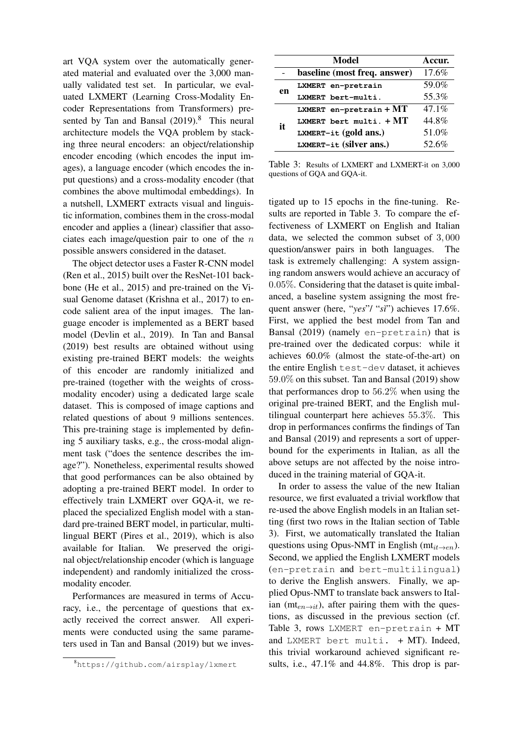art VQA system over the automatically generated material and evaluated over the 3,000 manually validated test set. In particular, we evaluated LXMERT (Learning Cross-Modality Encoder Representations from Transformers) presented by Tan and Bansal (2019).<sup>8</sup> This neural architecture models the VQA problem by stacking three neural encoders: an object/relationship encoder encoding (which encodes the input images), a language encoder (which encodes the input questions) and a cross-modality encoder (that combines the above multimodal embeddings). In a nutshell, LXMERT extracts visual and linguistic information, combines them in the cross-modal encoder and applies a (linear) classifier that associates each image/question pair to one of the  $n$ possible answers considered in the dataset.

The object detector uses a Faster R-CNN model (Ren et al., 2015) built over the ResNet-101 backbone (He et al., 2015) and pre-trained on the Visual Genome dataset (Krishna et al., 2017) to encode salient area of the input images. The language encoder is implemented as a BERT based model (Devlin et al., 2019). In Tan and Bansal (2019) best results are obtained without using existing pre-trained BERT models: the weights of this encoder are randomly initialized and pre-trained (together with the weights of crossmodality encoder) using a dedicated large scale dataset. This is composed of image captions and related questions of about 9 millions sentences. This pre-training stage is implemented by defining 5 auxiliary tasks, e.g., the cross-modal alignment task ("does the sentence describes the image?"). Nonetheless, experimental results showed that good performances can be also obtained by adopting a pre-trained BERT model. In order to effectively train LXMERT over GQA-it, we replaced the specialized English model with a standard pre-trained BERT model, in particular, multilingual BERT (Pires et al., 2019), which is also available for Italian. We preserved the original object/relationship encoder (which is language independent) and randomly initialized the crossmodality encoder.

Performances are measured in terms of Accuracy, i.e., the percentage of questions that exactly received the correct answer. All experiments were conducted using the same parameters used in Tan and Bansal (2019) but we inves-

|    | Model                        | Accur. |
|----|------------------------------|--------|
|    | baseline (most freq. answer) | 17.6%  |
| en | LXMERT en-pretrain           | 59.0%  |
|    | LXMERT bert-multi.           | 55.3%  |
|    | LXMERT en-pretrain + $MT$    | 47.1%  |
| it | LXMERT bert multi. $+MT$     | 44.8%  |
|    | $L$ XMERT-it (gold ans.)     | 51.0%  |
|    | LXMERT-it (silver ans.)      | 52.6%  |

Table 3: Results of LXMERT and LXMERT-it on 3,000 questions of GQA and GQA-it.

tigated up to 15 epochs in the fine-tuning. Results are reported in Table 3. To compare the effectiveness of LXMERT on English and Italian data, we selected the common subset of 3, 000 question/answer pairs in both languages. The task is extremely challenging: A system assigning random answers would achieve an accuracy of 0.05%. Considering that the dataset is quite imbalanced, a baseline system assigning the most frequent answer (here, "*yes*"/ "*s`ı*") achieves 17.6%. First, we applied the best model from Tan and Bansal (2019) (namely en-pretrain) that is pre-trained over the dedicated corpus: while it achieves 60.0% (almost the state-of-the-art) on the entire English test-dev dataset, it achieves 59.0% on this subset. Tan and Bansal (2019) show that performances drop to 56.2% when using the original pre-trained BERT, and the English multilingual counterpart here achieves 55.3%. This drop in performances confirms the findings of Tan and Bansal (2019) and represents a sort of upperbound for the experiments in Italian, as all the above setups are not affected by the noise introduced in the training material of GQA-it.

In order to assess the value of the new Italian resource, we first evaluated a trivial workflow that re-used the above English models in an Italian setting (first two rows in the Italian section of Table 3). First, we automatically translated the Italian questions using Opus-NMT in English ( $mt_{it\rightarrow en}$ ). Second, we applied the English LXMERT models (en-pretrain and bert-multilingual) to derive the English answers. Finally, we applied Opus-NMT to translate back answers to Italian ( $mt_{en\rightarrow it}$ ), after pairing them with the questions, as discussed in the previous section (cf. Table 3, rows LXMERT en-pretrain + MT and LXMERT bert multi.  $+ MT$ ). Indeed, this trivial workaround achieved significant results, i.e., 47.1% and 44.8%. This drop is par-

<sup>8</sup>https://github.com/airsplay/lxmert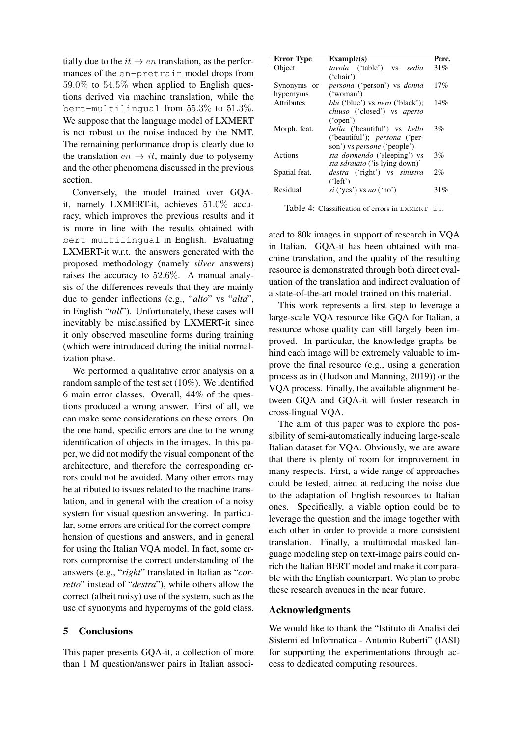tially due to the  $it \rightarrow en$  translation, as the performances of the en-pretrain model drops from 59.0% to 54.5% when applied to English questions derived via machine translation, while the bert-multilingual from 55.3% to 51.3%. We suppose that the language model of LXMERT is not robust to the noise induced by the NMT. The remaining performance drop is clearly due to the translation  $en \rightarrow it$ , mainly due to polysemy and the other phenomena discussed in the previous section.

Conversely, the model trained over GQAit, namely LXMERT-it, achieves 51.0% accuracy, which improves the previous results and it is more in line with the results obtained with bert-multilingual in English. Evaluating LXMERT-it w.r.t. the answers generated with the proposed methodology (namely *silver* answers) raises the accuracy to 52.6%. A manual analysis of the differences reveals that they are mainly due to gender inflections (e.g., "*alto*" vs "*alta*", in English "*tall*"). Unfortunately, these cases will inevitably be misclassified by LXMERT-it since it only observed masculine forms during training (which were introduced during the initial normalization phase.

We performed a qualitative error analysis on a random sample of the test set (10%). We identified 6 main error classes. Overall, 44% of the questions produced a wrong answer. First of all, we can make some considerations on these errors. On the one hand, specific errors are due to the wrong identification of objects in the images. In this paper, we did not modify the visual component of the architecture, and therefore the corresponding errors could not be avoided. Many other errors may be attributed to issues related to the machine translation, and in general with the creation of a noisy system for visual question answering. In particular, some errors are critical for the correct comprehension of questions and answers, and in general for using the Italian VQA model. In fact, some errors compromise the correct understanding of the answers (e.g., "*right*" translated in Italian as "*corretto*" instead of "*destra*"), while others allow the correct (albeit noisy) use of the system, such as the use of synonyms and hypernyms of the gold class.

## 5 Conclusions

This paper presents GQA-it, a collection of more than 1 M question/answer pairs in Italian associ-

| <b>Error Type</b> | Example(s)                                    | Perc. |
|-------------------|-----------------------------------------------|-------|
| Object            | <i>tavola</i> ('table')<br>sedia<br><b>VS</b> | 31%   |
|                   | ('chair')                                     |       |
| Synonyms or       | persona ('person') vs donna                   | 17%   |
| hypernyms         | ('woman')                                     |       |
| <b>Attributes</b> | <i>blu</i> ('blue') vs <i>nero</i> ('black'); | 14%   |
|                   | <i>chiuso</i> ('closed') vs <i>aperto</i>     |       |
|                   | $(\text{open}')$                              |       |
| Morph. feat.      | <i>bella</i> ('beautiful') vs <i>bello</i>    | 3%    |
|                   | ('beautiful'); <i>persona</i> ('per-          |       |
|                   | son') vs <i>persone</i> ('people')            |       |
| Actions           | <i>sta dormendo</i> ('sleeping') vs           | 3%    |
|                   | <i>sta sdraiato</i> ('is lying down)'         |       |
| Spatial feat.     | destra ('right') vs sinistra                  | 2%    |
|                   | ('left')                                      |       |
| Residual          | $si$ ('yes') vs no ('no')                     | 31%   |

Table 4: Classification of errors in LXMERT-it.

ated to 80k images in support of research in VQA in Italian. GQA-it has been obtained with machine translation, and the quality of the resulting resource is demonstrated through both direct evaluation of the translation and indirect evaluation of a state-of-the-art model trained on this material.

This work represents a first step to leverage a large-scale VQA resource like GQA for Italian, a resource whose quality can still largely been improved. In particular, the knowledge graphs behind each image will be extremely valuable to improve the final resource (e.g., using a generation process as in (Hudson and Manning, 2019)) or the VQA process. Finally, the available alignment between GQA and GQA-it will foster research in cross-lingual VQA.

The aim of this paper was to explore the possibility of semi-automatically inducing large-scale Italian dataset for VQA. Obviously, we are aware that there is plenty of room for improvement in many respects. First, a wide range of approaches could be tested, aimed at reducing the noise due to the adaptation of English resources to Italian ones. Specifically, a viable option could be to leverage the question and the image together with each other in order to provide a more consistent translation. Finally, a multimodal masked language modeling step on text-image pairs could enrich the Italian BERT model and make it comparable with the English counterpart. We plan to probe these research avenues in the near future.

#### Acknowledgments

We would like to thank the "Istituto di Analisi dei Sistemi ed Informatica - Antonio Ruberti" (IASI) for supporting the experimentations through access to dedicated computing resources.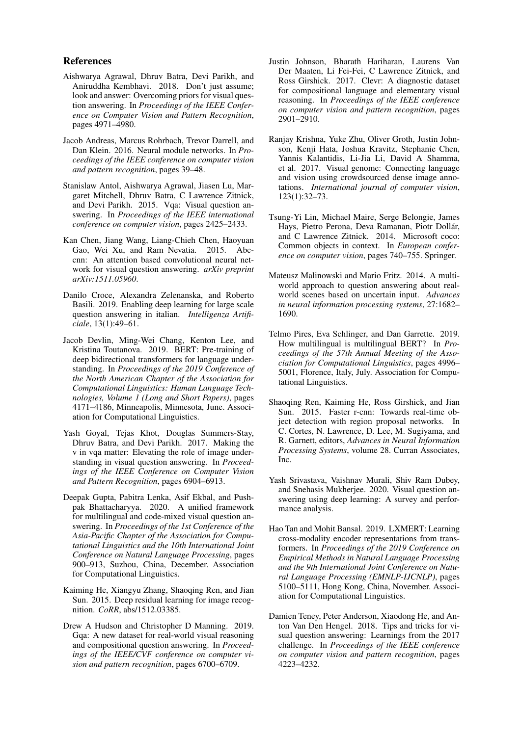#### References

- Aishwarya Agrawal, Dhruv Batra, Devi Parikh, and Aniruddha Kembhavi. 2018. Don't just assume; look and answer: Overcoming priors for visual question answering. In *Proceedings of the IEEE Conference on Computer Vision and Pattern Recognition*, pages 4971–4980.
- Jacob Andreas, Marcus Rohrbach, Trevor Darrell, and Dan Klein. 2016. Neural module networks. In *Proceedings of the IEEE conference on computer vision and pattern recognition*, pages 39–48.
- Stanislaw Antol, Aishwarya Agrawal, Jiasen Lu, Margaret Mitchell, Dhruv Batra, C Lawrence Zitnick, and Devi Parikh. 2015. Vqa: Visual question answering. In *Proceedings of the IEEE international conference on computer vision*, pages 2425–2433.
- Kan Chen, Jiang Wang, Liang-Chieh Chen, Haoyuan Gao, Wei Xu, and Ram Nevatia. 2015. Abccnn: An attention based convolutional neural network for visual question answering. *arXiv preprint arXiv:1511.05960*.
- Danilo Croce, Alexandra Zelenanska, and Roberto Basili. 2019. Enabling deep learning for large scale question answering in italian. *Intelligenza Artificiale*, 13(1):49–61.
- Jacob Devlin, Ming-Wei Chang, Kenton Lee, and Kristina Toutanova. 2019. BERT: Pre-training of deep bidirectional transformers for language understanding. In *Proceedings of the 2019 Conference of the North American Chapter of the Association for Computational Linguistics: Human Language Technologies, Volume 1 (Long and Short Papers)*, pages 4171–4186, Minneapolis, Minnesota, June. Association for Computational Linguistics.
- Yash Goyal, Tejas Khot, Douglas Summers-Stay, Dhruv Batra, and Devi Parikh. 2017. Making the v in vqa matter: Elevating the role of image understanding in visual question answering. In *Proceedings of the IEEE Conference on Computer Vision and Pattern Recognition*, pages 6904–6913.
- Deepak Gupta, Pabitra Lenka, Asif Ekbal, and Pushpak Bhattacharyya. 2020. A unified framework for multilingual and code-mixed visual question answering. In *Proceedings of the 1st Conference of the Asia-Pacific Chapter of the Association for Computational Linguistics and the 10th International Joint Conference on Natural Language Processing*, pages 900–913, Suzhou, China, December. Association for Computational Linguistics.
- Kaiming He, Xiangyu Zhang, Shaoqing Ren, and Jian Sun. 2015. Deep residual learning for image recognition. *CoRR*, abs/1512.03385.
- Drew A Hudson and Christopher D Manning. 2019. Gqa: A new dataset for real-world visual reasoning and compositional question answering. In *Proceedings of the IEEE/CVF conference on computer vision and pattern recognition*, pages 6700–6709.
- Justin Johnson, Bharath Hariharan, Laurens Van Der Maaten, Li Fei-Fei, C Lawrence Zitnick, and Ross Girshick. 2017. Clevr: A diagnostic dataset for compositional language and elementary visual reasoning. In *Proceedings of the IEEE conference on computer vision and pattern recognition*, pages 2901–2910.
- Ranjay Krishna, Yuke Zhu, Oliver Groth, Justin Johnson, Kenji Hata, Joshua Kravitz, Stephanie Chen, Yannis Kalantidis, Li-Jia Li, David A Shamma, et al. 2017. Visual genome: Connecting language and vision using crowdsourced dense image annotations. *International journal of computer vision*, 123(1):32–73.
- Tsung-Yi Lin, Michael Maire, Serge Belongie, James Hays, Pietro Perona, Deva Ramanan, Piotr Dollár, and C Lawrence Zitnick. 2014. Microsoft coco: Common objects in context. In *European conference on computer vision*, pages 740–755. Springer.
- Mateusz Malinowski and Mario Fritz. 2014. A multiworld approach to question answering about realworld scenes based on uncertain input. *Advances in neural information processing systems*, 27:1682– 1690.
- Telmo Pires, Eva Schlinger, and Dan Garrette. 2019. How multilingual is multilingual BERT? In *Proceedings of the 57th Annual Meeting of the Association for Computational Linguistics*, pages 4996– 5001, Florence, Italy, July. Association for Computational Linguistics.
- Shaoqing Ren, Kaiming He, Ross Girshick, and Jian Sun. 2015. Faster r-cnn: Towards real-time object detection with region proposal networks. In C. Cortes, N. Lawrence, D. Lee, M. Sugiyama, and R. Garnett, editors, *Advances in Neural Information Processing Systems*, volume 28. Curran Associates, Inc.
- Yash Srivastava, Vaishnav Murali, Shiv Ram Dubey, and Snehasis Mukherjee. 2020. Visual question answering using deep learning: A survey and performance analysis.
- Hao Tan and Mohit Bansal. 2019. LXMERT: Learning cross-modality encoder representations from transformers. In *Proceedings of the 2019 Conference on Empirical Methods in Natural Language Processing and the 9th International Joint Conference on Natural Language Processing (EMNLP-IJCNLP)*, pages 5100–5111, Hong Kong, China, November. Association for Computational Linguistics.
- Damien Teney, Peter Anderson, Xiaodong He, and Anton Van Den Hengel. 2018. Tips and tricks for visual question answering: Learnings from the 2017 challenge. In *Proceedings of the IEEE conference on computer vision and pattern recognition*, pages 4223–4232.